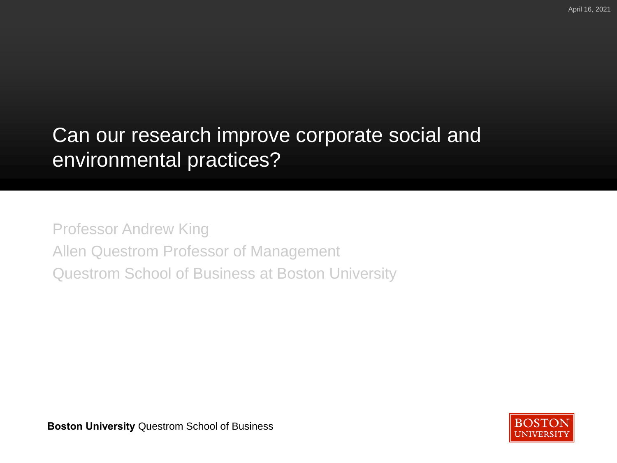# Can our research improve corporate social and environmental practices?

Professor Andrew King Allen Questrom Professor of Management Questrom School of Business at Boston University



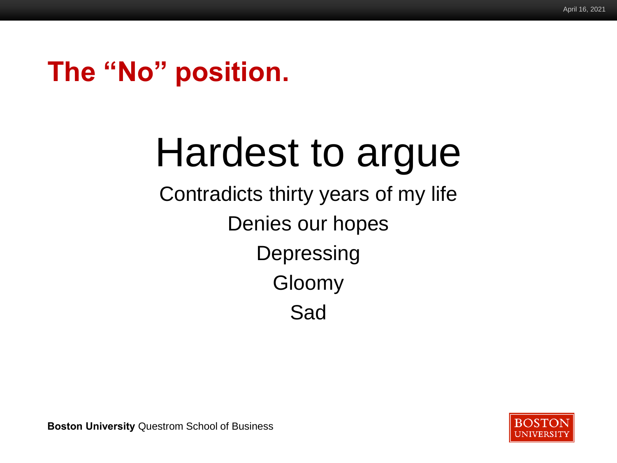# **The "No" position.**

# Hardest to argue

Contradicts thirty years of my life Denies our hopes **Depressing** Gloomy Sad

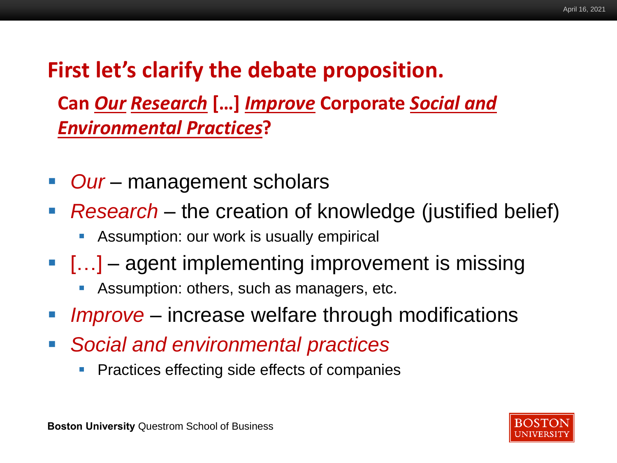# **First let's clarify the debate proposition.**

**Can** *Our Research* **[…]** *Improve* **Corporate** *Social and Environmental Practices***?**

- **Our** management scholars
- *Research* the creation of knowledge (justified belief)
	- Assumption: our work is usually empirical
- $\blacksquare$  [...] agent implementing improvement is missing
	- Assumption: others, such as managers, etc.
- *Improve* increase welfare through modifications
- *Social and environmental practices*
	- Practices effecting side effects of companies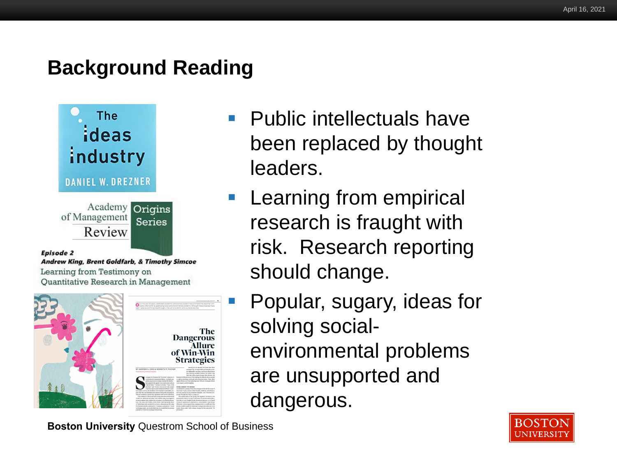## **Background Reading**



#### Episode 2

Andrew King, Brent Goldfarb, & Timothy Simcoe Learning from Testimony on Quantitative Research in Management



- Public intellectuals have been replaced by thought leaders.
- **EXEC** Learning from empirical research is fraught with risk. Research reporting should change.
	- Popular, sugary, ideas for solving socialenvironmental problems are unsupported and dangerous.

**BOSTON JNIVERSI**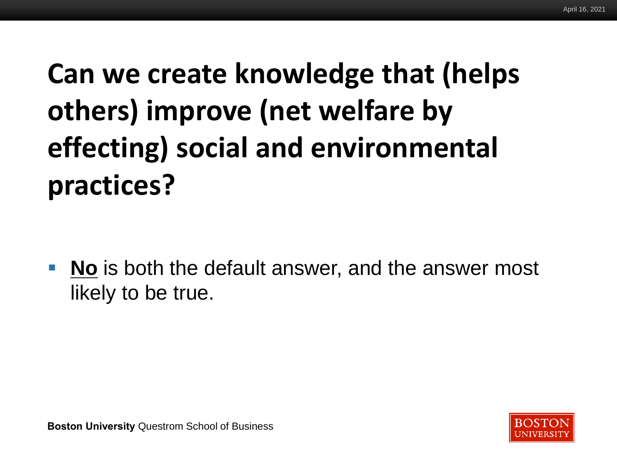# **Burnersi Improve Can we create knowledge that (helps others) improve (net welfare by effecting) social and environmental practices?**

**No** is both the default answer, and the answer most likely to be true.



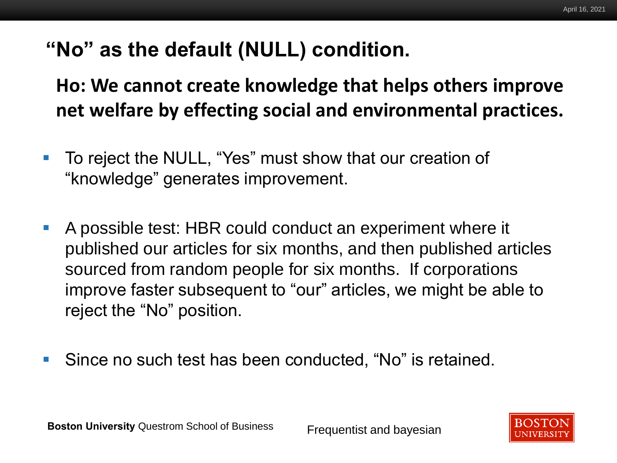# **"No" as the default (NULL) condition.**

# net welfare by effecting social and environmental practices. **Ho: We cannot create knowledge that helps others improve**

- To reject the NULL, "Yes" must show that our creation of "knowledge" generates improvement.
- A possible test: HBR could conduct an experiment where it published our articles for six months, and then published articles sourced from random people for six months. If corporations improve faster subsequent to "our" articles, we might be able to reject the "No" position.
- Since no such test has been conducted, "No" is retained.

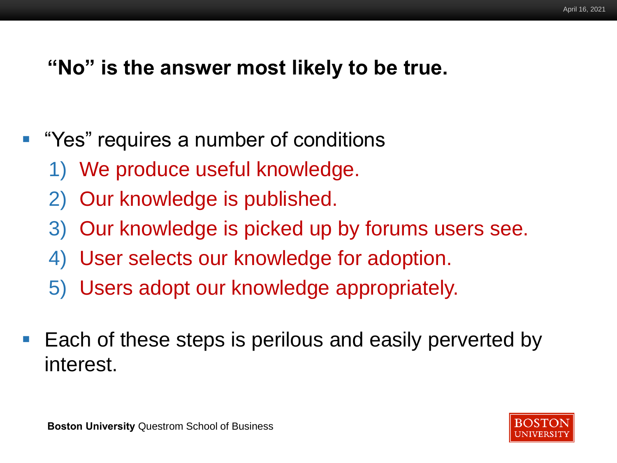#### **"No" is the answer most likely to be true.**

- "Yes" requires a number of conditions
	- 1) We produce useful knowledge.
	- 2) Our knowledge is published.
	- 3) Our knowledge is picked up by forums users see.
	- 4) User selects our knowledge for adoption.
	- 5) Users adopt our knowledge appropriately.
- Each of these steps is perilous and easily perverted by interest.

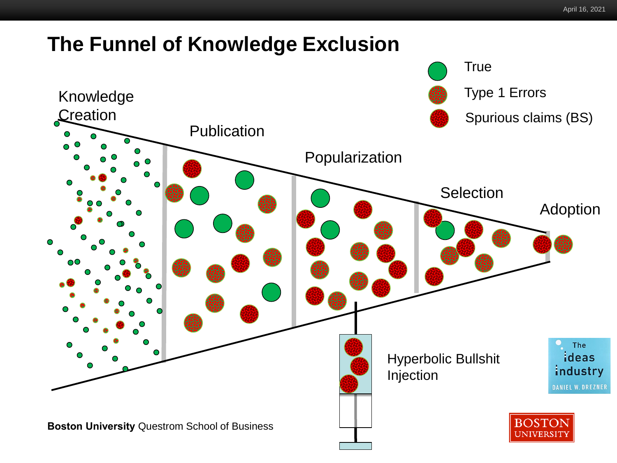## **The Funnel of Knowledge Exclusion**

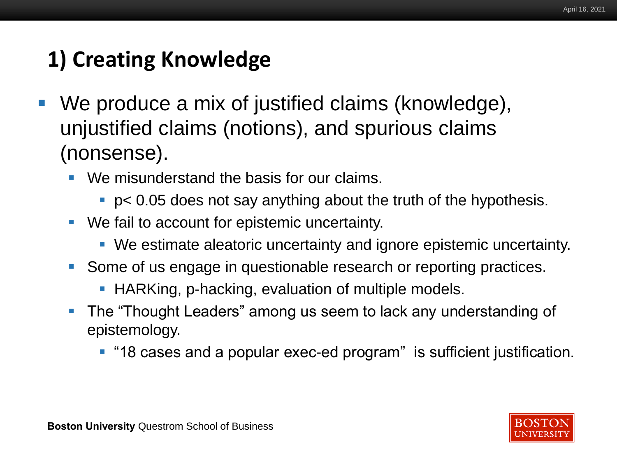# **1) Creating Knowledge**

- **We produce a mix of justified claims (knowledge),** unjustified claims (notions), and spurious claims (nonsense).
	- We misunderstand the basis for our claims.
		- $\blacksquare$  p< 0.05 does not say anything about the truth of the hypothesis.
	- We fail to account for epistemic uncertainty.
		- We estimate aleatoric uncertainty and ignore epistemic uncertainty.
	- Some of us engage in questionable research or reporting practices.
		- HARKing, p-hacking, evaluation of multiple models.
	- The "Thought Leaders" among us seem to lack any understanding of epistemology.
		- "18 cases and a popular exec-ed program" is sufficient justification.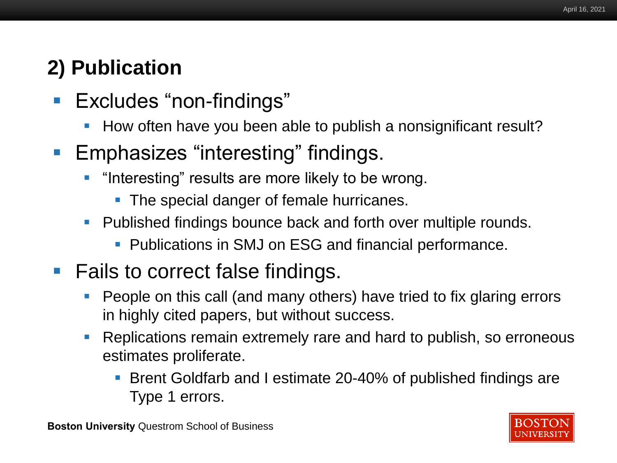# **2) Publication**

- Excludes "non-findings"
	- How often have you been able to publish a nonsignificant result?
- Emphasizes "interesting" findings.
	- **•** "Interesting" results are more likely to be wrong.
		- The special danger of female hurricanes.
	- Published findings bounce back and forth over multiple rounds.
		- **Publications in SMJ on ESG and financial performance.**
- Fails to correct false findings.
	- People on this call (and many others) have tried to fix glaring errors in highly cited papers, but without success.
	- Replications remain extremely rare and hard to publish, so erroneous estimates proliferate.
		- Brent Goldfarb and I estimate 20-40% of published findings are Type 1 errors.

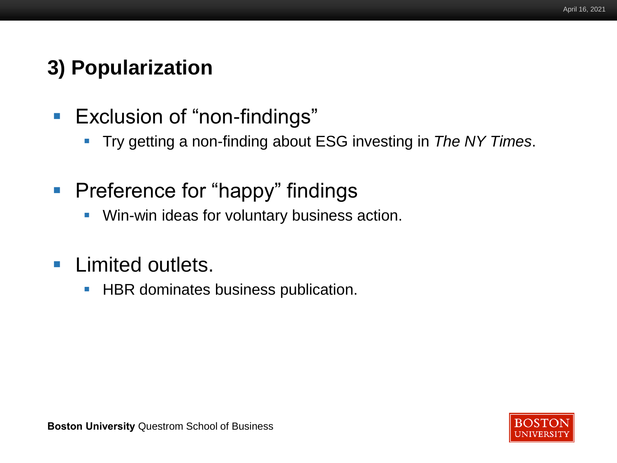# **3) Popularization**

- Exclusion of "non-findings"
	- Try getting a non-finding about ESG investing in *The NY Times*.
- **Preference for "happy" findings** 
	- **Win-win ideas for voluntary business action.**
- **E** Limited outlets.
	- HBR dominates business publication.

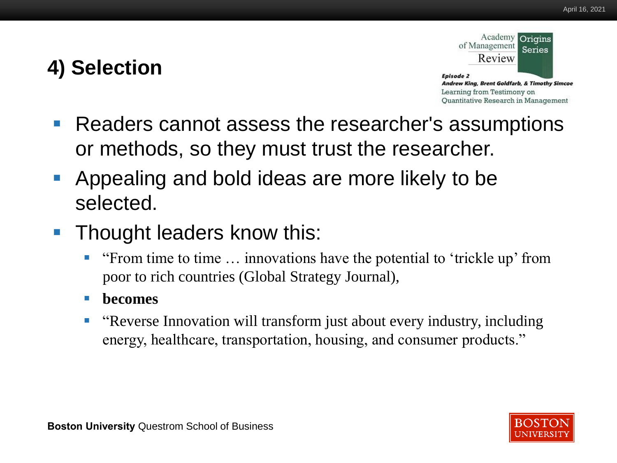# **4) Selection**



- **Readers cannot assess the researcher's assumptions** or methods, so they must trust the researcher.
- Appealing and bold ideas are more likely to be selected.
- Thought leaders know this:
	- **Example 1.4 The Studies Example 1.4 The Studies of the Studies of the Studies of the Studies of The Studies 4.4 The Studies Studies Studies 1.4 The Studies Studies Studies Studies Studies Studies Studies Studies Studies S** poor to rich countries (Global Strategy Journal),
	- **becomes**
	- "Reverse Innovation will transform just about every industry, including energy, healthcare, transportation, housing, and consumer products."

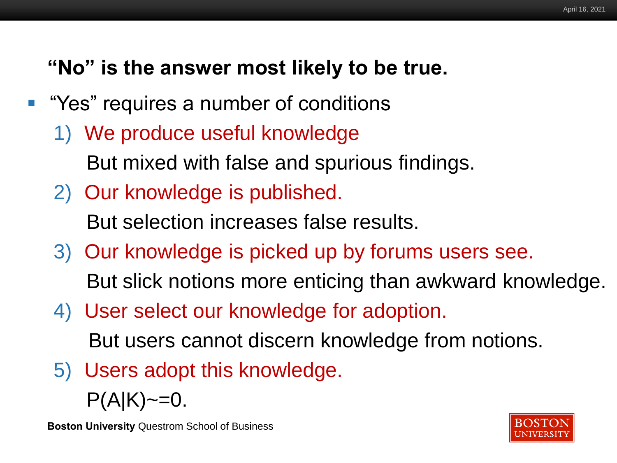# **"No" is the answer most likely to be true.**

- "Yes" requires a number of conditions
	- 1) We produce useful knowledge But mixed with false and spurious findings.
	- 2) Our knowledge is published. But selection increases false results.
	- 3) Our knowledge is picked up by forums users see.

But slick notions more enticing than awkward knowledge.

4) User select our knowledge for adoption.

But users cannot discern knowledge from notions.

5) Users adopt this knowledge.

 $P(A|K) \sim = 0.$ 

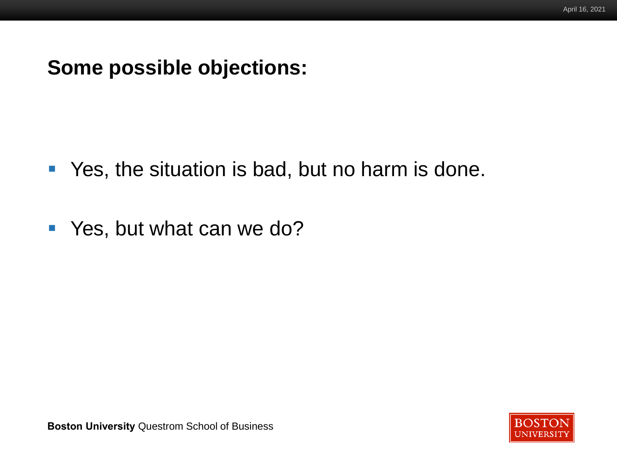#### **Some possible objections:**

- Yes, the situation is bad, but no harm is done.
- Yes, but what can we do?

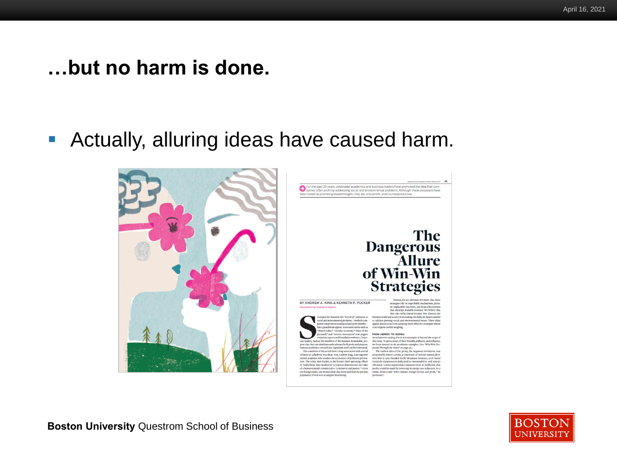#### **…but no harm is done.**

■ Actually, alluring ideas have caused harm.





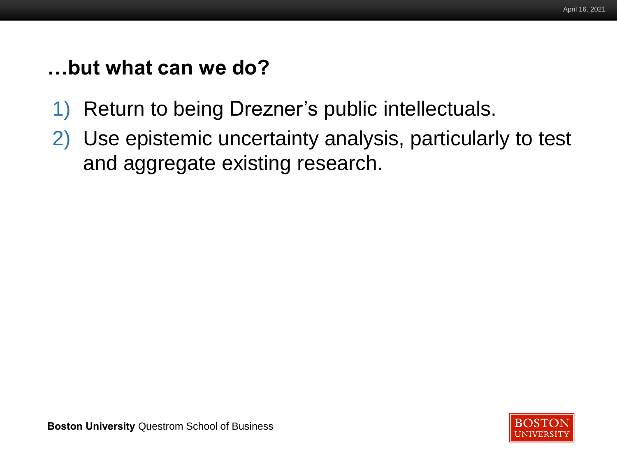## **…but what can we do?**

- 1) Return to being Drezner's public intellectuals.
- 2) Use epistemic uncertainty analysis, particularly to test and aggregate existing research.

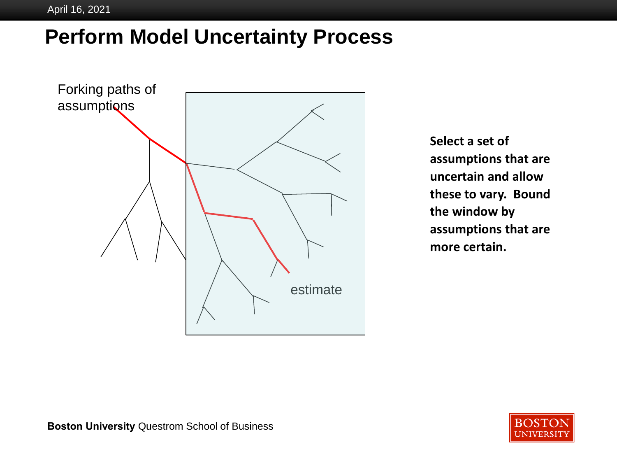# **Perform Model Uncertainty Process**



**Select a set of assumptions that are uncertain and allow these to vary. Bound the window by assumptions that are more certain.**

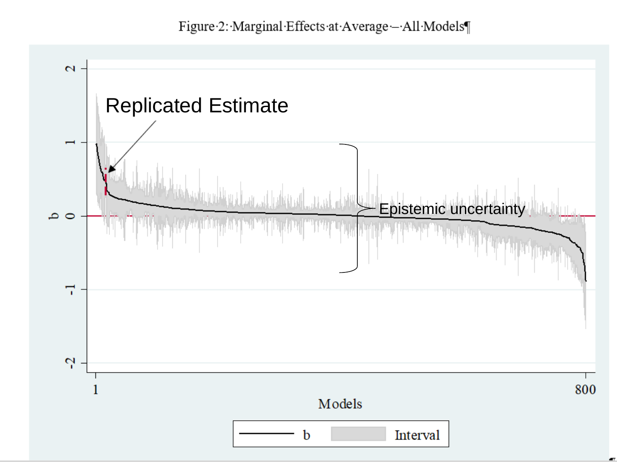Figure 2: Marginal Effects at Average - All Models

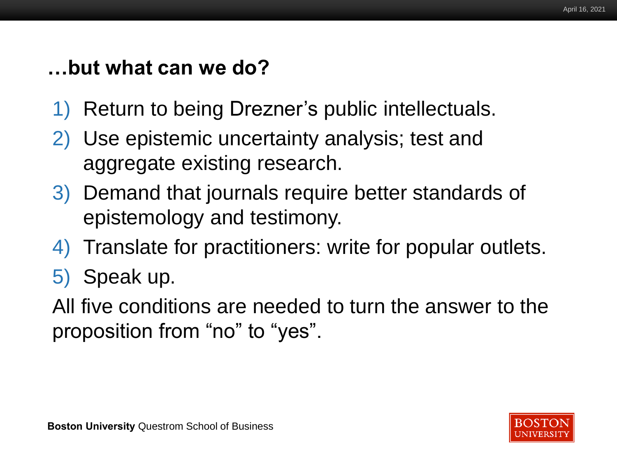# **…but what can we do?**

- 1) Return to being Drezner's public intellectuals.
- 2) Use epistemic uncertainty analysis; test and aggregate existing research.
- 3) Demand that journals require better standards of epistemology and testimony.
- 4) Translate for practitioners: write for popular outlets.
- 5) Speak up.

All five conditions are needed to turn the answer to the proposition from "no" to "yes".